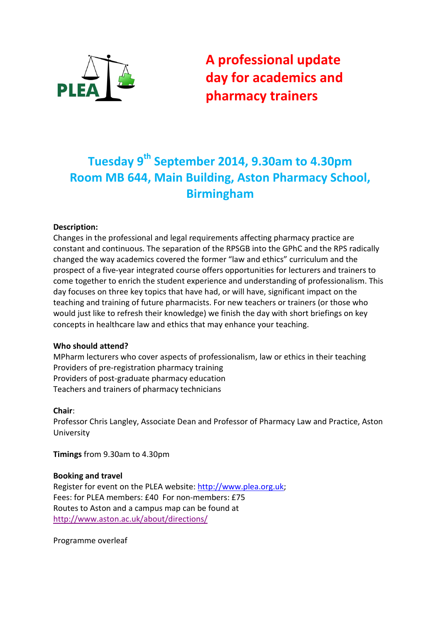

A professional update day for academics and pharmacy trainers

# Tuesday 9<sup>th</sup> September 2014, 9.30am to 4.30pm Room MB 644, Main Building, Aston Pharmacy School, Birmingham

# Description:

Changes in the professional and legal requirements affecting pharmacy practice are constant and continuous. The separation of the RPSGB into the GPhC and the RPS radically changed the way academics covered the former "law and ethics" curriculum and the prospect of a five-year integrated course offers opportunities for lecturers and trainers to come together to enrich the student experience and understanding of professionalism. This day focuses on three key topics that have had, or will have, significant impact on the teaching and training of future pharmacists. For new teachers or trainers (or those who would just like to refresh their knowledge) we finish the day with short briefings on key concepts in healthcare law and ethics that may enhance your teaching.

## Who should attend?

MPharm lecturers who cover aspects of professionalism, law or ethics in their teaching Providers of pre-registration pharmacy training Providers of post-graduate pharmacy education Teachers and trainers of pharmacy technicians

#### Chair:

Professor Chris Langley, Associate Dean and Professor of Pharmacy Law and Practice, Aston University

Timings from 9.30am to 4.30pm

## Booking and travel

Register for event on the PLEA website: http://www.plea.org.uk; Fees: for PLEA members: £40 For non-members: £75 Routes to Aston and a campus map can be found at http://www.aston.ac.uk/about/directions/

Programme overleaf